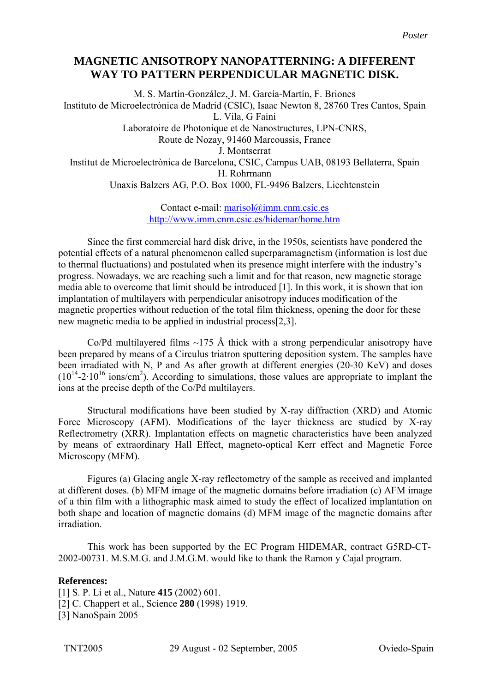## **MAGNETIC ANISOTROPY NANOPATTERNING: A DIFFERENT WAY TO PATTERN PERPENDICULAR MAGNETIC DISK.**

M. S. Martín-González, J. M. García-Martín, F. Briones Instituto de Microelectrónica de Madrid (CSIC), Isaac Newton 8, 28760 Tres Cantos, Spain L. Vila, G Faini Laboratoire de Photonique et de Nanostructures, LPN-CNRS, Route de Nozay, 91460 Marcoussis, France J. Montserrat Institut de Microelectrònica de Barcelona, CSIC, Campus UAB, 08193 Bellaterra, Spain H. Rohrmann Unaxis Balzers AG, P.O. Box 1000, FL-9496 Balzers, Liechtenstein

> Contact e-mail: [marisol@imm.cnm.csic.es](mailto:marisol@imm.cnm.csic.es) <http://www.imm.cnm.csic.es/hidemar/home.htm>

Since the first commercial hard disk drive, in the 1950s, scientists have pondered the potential effects of a natural phenomenon called superparamagnetism (information is lost due to thermal fluctuations) and postulated when its presence might interfere with the industry's progress. Nowadays, we are reaching such a limit and for that reason, new magnetic storage media able to overcome that limit should be introduced [1]. In this work, it is shown that ion implantation of multilayers with perpendicular anisotropy induces modification of the magnetic properties without reduction of the total film thickness, opening the door for these new magnetic media to be applied in industrial process[2,3].

Co/Pd multilayered films  $\sim$ 175 Å thick with a strong perpendicular anisotropy have been prepared by means of a Circulus triatron sputtering deposition system. The samples have been irradiated with N, P and As after growth at different energies (20-30 KeV) and doses  $(10^{14}-2.10^{16} \text{ ions/cm}^2)$ . According to simulations, those values are appropriate to implant the ions at the precise depth of the Co/Pd multilayers.

Structural modifications have been studied by X-ray diffraction (XRD) and Atomic Force Microscopy (AFM). Modifications of the layer thickness are studied by X-ray Reflectrometry (XRR). Implantation effects on magnetic characteristics have been analyzed by means of extraordinary Hall Effect, magneto-optical Kerr effect and Magnetic Force Microscopy (MFM).

Figures (a) Glacing angle X-ray reflectometry of the sample as received and implanted at different doses. (b) MFM image of the magnetic domains before irradiation (c) AFM image of a thin film with a lithographic mask aimed to study the effect of localized implantation on both shape and location of magnetic domains (d) MFM image of the magnetic domains after irradiation.

This work has been supported by the EC Program HIDEMAR, contract G5RD-CT-2002-00731. M.S.M.G. and J.M.G.M. would like to thank the Ramon y Cajal program.

## **References:**

[1] S. P. Li et al., Nature **415** (2002) 601. [2] C. Chappert et al., Science **280** (1998) 1919. [3] NanoSpain 2005